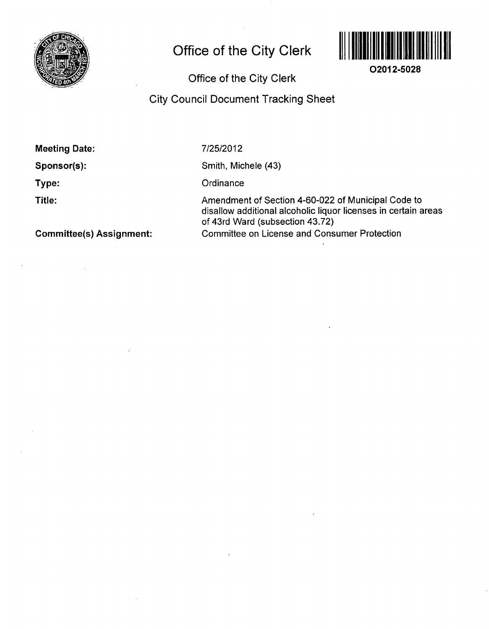

# **Office of the City Clerk**



**02012-5028** 

# Office of the City Clerk

## City Council Document Tracking Sheet

Meeting Date:

Sponsor(s):

Type:

Title:

7/25/2012

Smith, Michele (43)

**Ordinance** 

Amendment of Section 4-60-022 of Municipal Code to disallow additional alcoholic liquor licenses in certain areas of 43rd Ward (subsection 43.72) Committee on License and Consumer Protection

Committee(s) Assignment: